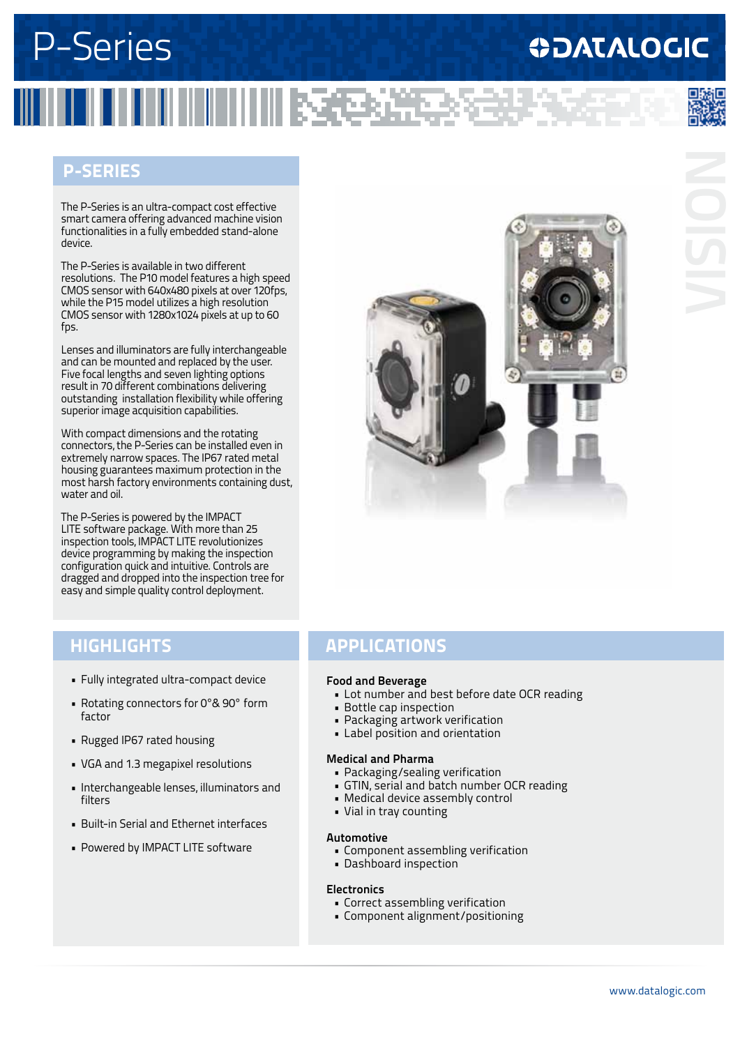## **ODATALOGIC**

#### **P-Series**

The P-Series is an ultra-compact cost effective smart camera offering advanced machine vision functionalities in a fully embedded stand-alone device.

The P-Series is available in two different resolutions. The P10 model features a high speed CMOS sensor with 640x480 pixels at over 120fps, while the P15 model utilizes a high resolution CMOS sensor with 1280x1024 pixels at up to 60 fps.

Lenses and illuminators are fully interchangeable and can be mounted and replaced by the user. Five focal lengths and seven lighting options result in 70 different combinations delivering outstanding installation flexibility while offering superior image acquisition capabilities.

With compact dimensions and the rotating connectors, the P-Series can be installed even in extremely narrow spaces. The IP67 rated metal housing guarantees maximum protection in the most harsh factory environments containing dust, water and oil.

The P-Series is powered by the IMPACT LITE software package. With more than 25 inspection tools, IMPACT LITE revolutionizes device programming by making the inspection configuration quick and intuitive. Controls are dragged and dropped into the inspection tree for easy and simple quality control deployment.



- • Fully integrated ultra-compact device
- Rotating connectors for 0°& 90° form factor
- • Rugged IP67 rated housing
- • VGA and 1.3 megapixel resolutions
- • Interchangeable lenses, illuminators and filters
- • Built-in Serial and Ethernet interfaces
- Powered by IMPACT LITE software

#### **highlightS APPLICATIONS**

#### **Food and Beverage**

- • Lot number and best before date OCR reading
- • Bottle cap inspection
- • Packaging artwork verification
- • Label position and orientation

#### **Medical and Pharma**

- • Packaging/sealing verification
- • GTIN, serial and batch number OCR reading
- • Medical device assembly control
- • Vial in tray counting

#### **Automotive**

- Component assembling verification
- • Dashboard inspection

#### **Electronics**

- • Correct assembling verification
- • Component alignment/positioning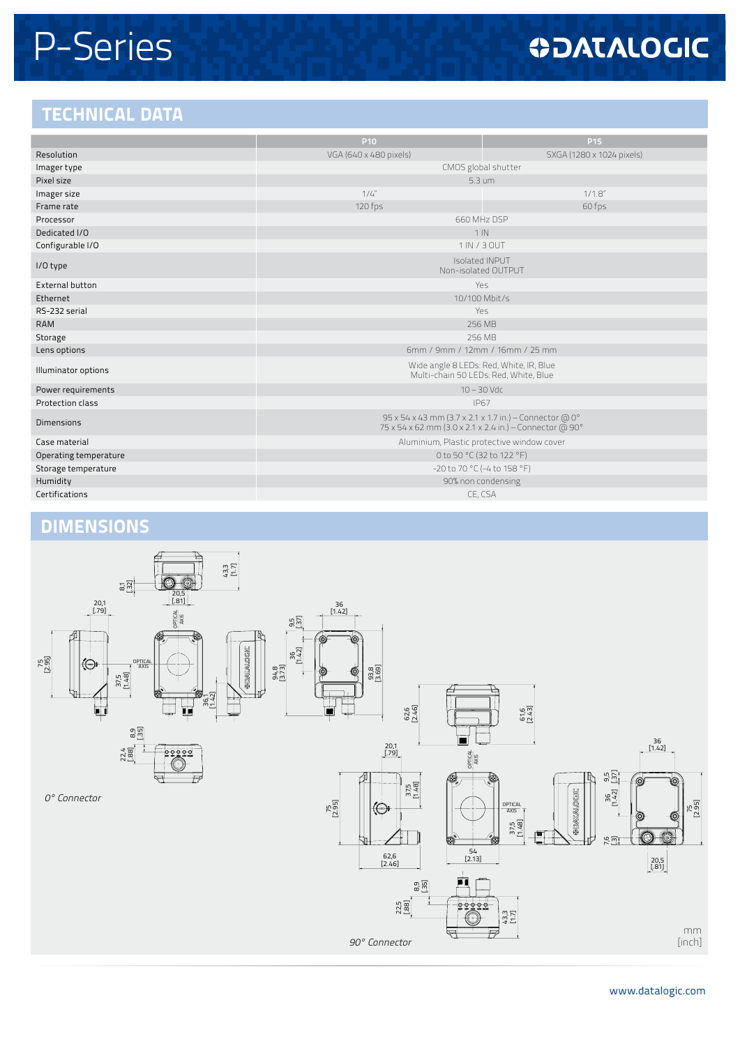## **ODATALOGIC**

### **TECHNICAL DATA**

|                        | P <sub>10</sub>                                                                                                   | P <sub>15</sub>           |  |
|------------------------|-------------------------------------------------------------------------------------------------------------------|---------------------------|--|
| Resolution             | VGA (640 x 480 pixels)                                                                                            | SXGA (1280 x 1024 pixels) |  |
| Imager type            | CMOS global shutter                                                                                               |                           |  |
| Pixel size             | $5.3 \text{ um}$                                                                                                  |                           |  |
| Imager size            | 1/4''<br>$1/1.8$ "                                                                                                |                           |  |
| Frame rate             | 120 fps<br>60 fps                                                                                                 |                           |  |
| Processor              | 660 MHz DSP                                                                                                       |                           |  |
| Dedicated I/O          | $1$ IN                                                                                                            |                           |  |
| Configurable I/O       | 1 IN / 3 OUT                                                                                                      |                           |  |
| I/O type               | Isolated INPUT<br>Non-isolated OUTPUT                                                                             |                           |  |
| <b>External button</b> | Yes                                                                                                               |                           |  |
| Ethernet               | 10/100 Mbit/s                                                                                                     |                           |  |
| RS-232 serial          | Yes                                                                                                               |                           |  |
| <b>RAM</b>             | 256 MB                                                                                                            |                           |  |
| Storage                | 256 MB                                                                                                            |                           |  |
| Lens options           | 6mm / 9mm / 12mm / 16mm / 25 mm                                                                                   |                           |  |
| Illuminator options    | Wide angle 8 LEDs: Red, White, IR, Blue<br>Multi-chain 50 LEDs: Red, White, Blue                                  |                           |  |
| Power requirements     | $10 - 30$ Vdc                                                                                                     |                           |  |
| Protection class       | <b>IP67</b>                                                                                                       |                           |  |
| <b>Dimensions</b>      | 95 x 54 x 43 mm (3.7 x 2.1 x 1.7 in.) - Connector @ 0°<br>75 x 54 x 62 mm (3.0 x 2.1 x 2.4 in.) - Connector @ 90° |                           |  |
| Case material          | Aluminium, Plastic protective window cover                                                                        |                           |  |
| Operating temperature  | 0 to 50 °C (32 to 122 °F)                                                                                         |                           |  |
| Storage temperature    | -20 to 70 °C (-4 to 158 °F)                                                                                       |                           |  |
| Humidity               | 90% non condensing                                                                                                |                           |  |
| Certifications         | CE, CSA                                                                                                           |                           |  |
|                        |                                                                                                                   |                           |  |

### **DIMENSIONs**

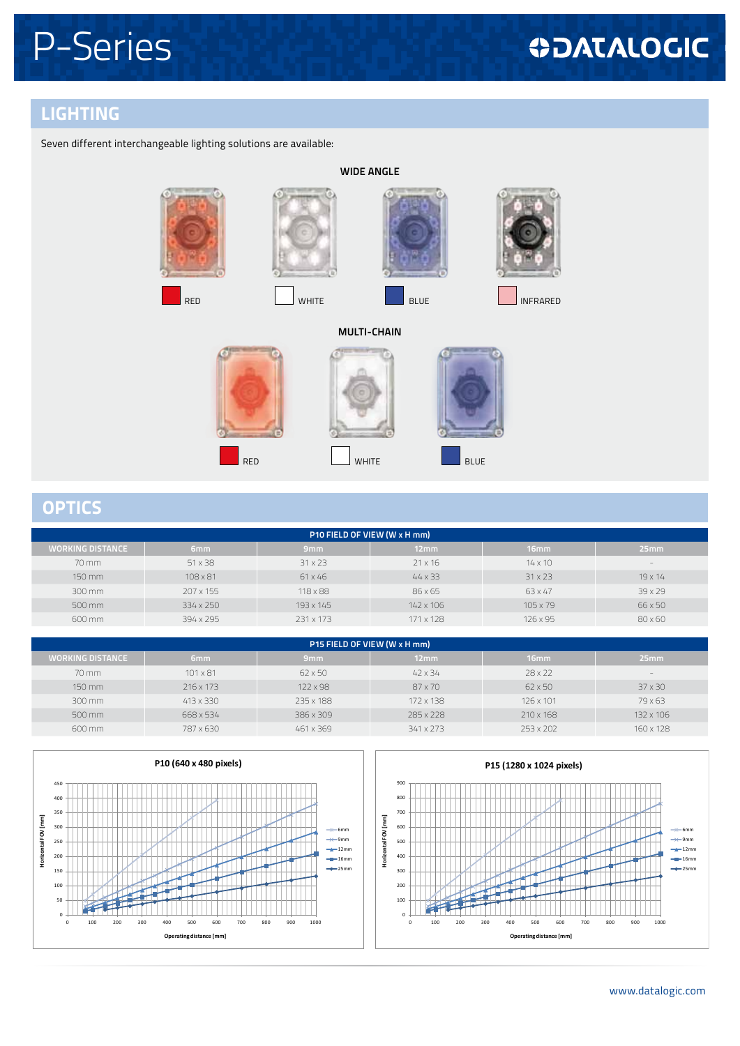## **ODATALOGIC**

### **LIGHTING**

Seven different interchangeable lighting solutions are available:



#### **OPTICS**

| P10 FIELD OF VIEW (W x H mm) |           |                 |                |                  |                          |
|------------------------------|-----------|-----------------|----------------|------------------|--------------------------|
| WORKING DISTANCE             | 6mm       | 9mm             | 12mm           | 16 <sub>mm</sub> | 25mm                     |
| 70 mm                        | 51 x 38   | $31 \times 23$  | $21 \times 16$ | $14 \times 10$   | $\overline{\phantom{a}}$ |
| 150 mm                       | 108 x 81  | 61 x 46         | $44 \times 33$ | $31 \times 23$   | $19 \times 14$           |
| 300 mm                       | 207 x 155 | $118 \times 88$ | 86 x 65        | 63 x 47          | 39 x 29                  |
| 500 mm                       | 334 x 250 | 193 x 145       | 142 x 106      | $105 \times 79$  | 66 x 50                  |
| 600 mm                       | 394 x 295 | 231 x 173       | 171 x 128      | 126 x 95         | 80 x 60                  |

| P15 FIELD OF VIEW (W x H mm) |                 |                 |                |                |                          |
|------------------------------|-----------------|-----------------|----------------|----------------|--------------------------|
| <b>WORKING DISTANCE</b>      | 6mm             | 9 <sub>mm</sub> | 12mm           | 16mm           | 25mm                     |
| $70 \text{ mm}$              | $101 \times 81$ | $62 \times 50$  | $42 \times 34$ | $28 \times 22$ | $\overline{\phantom{a}}$ |
| 150 mm                       | 216 x 173       | 122 x 98        | 87 x 70        | $62 \times 50$ | $37 \times 30$           |
| 300 mm                       | 413 x 330       | 235 x 188       | 172 x 138      | 126 x 101      | 79 x 63                  |
| 500 mm                       | 668 x 534       | 386 x 309       | 285 x 228      | 210 x 168      | 132 x 106                |
| 600 mm                       | 787 x 630       | 461 x 369       | 341 x 273      | 253 x 202      | 160 x 128                |
|                              |                 |                 |                |                |                          |